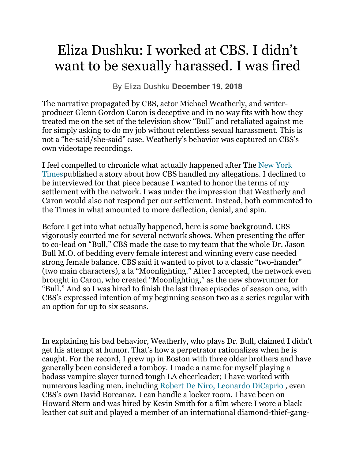## Eliza Dushku: I worked at CBS. I didn't want to be sexually harassed. I was fired

By Eliza Dushku **December 19, 2018**

The narrative propagated by CBS, actor Michael Weatherly, and writerproducer Glenn Gordon Caron is deceptive and in no way fits with how they treated me on the set of the television show "Bull'' and retaliated against me for simply asking to do my job without relentless sexual harassment. This is not a "he-said/she-said" case. Weatherly's behavior was captured on CBS's own videotape recordings.

I feel compelled to chronicle what actually happened after The New York Timespublished a story about how CBS handled my allegations. I declined to be interviewed for that piece because I wanted to honor the terms of my settlement with the network. I was under the impression that Weatherly and Caron would also not respond per our settlement. Instead, both commented to the Times in what amounted to more deflection, denial, and spin.

Before I get into what actually happened, here is some background. CBS vigorously courted me for several network shows. When presenting the offer to co-lead on "Bull," CBS made the case to my team that the whole Dr. Jason Bull M.O. of bedding every female interest and winning every case needed strong female balance. CBS said it wanted to pivot to a classic "two-hander" (two main characters), a la "Moonlighting." After I accepted, the network even brought in Caron, who created "Moonlighting," as the new showrunner for "Bull." And so I was hired to finish the last three episodes of season one, with CBS's expressed intention of my beginning season two as a series regular with an option for up to six seasons.

In explaining his bad behavior, Weatherly, who plays Dr. Bull, claimed I didn't get his attempt at humor. That's how a perpetrator rationalizes when he is caught. For the record, I grew up in Boston with three older brothers and have generally been considered a tomboy. I made a name for myself playing a badass vampire slayer turned tough LA cheerleader; I have worked with numerous leading men, including Robert De Niro, Leonardo DiCaprio , even CBS's own David Boreanaz. I can handle a locker room. I have been on Howard Stern and was hired by Kevin Smith for a film where I wore a black leather cat suit and played a member of an international diamond-thief-gang-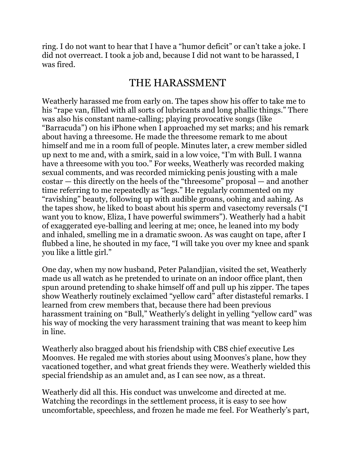ring. I do not want to hear that I have a "humor deficit" or can't take a joke. I did not overreact. I took a job and, because I did not want to be harassed, I was fired.

## THE HARASSMENT

Weatherly harassed me from early on. The tapes show his offer to take me to his "rape van, filled with all sorts of lubricants and long phallic things." There was also his constant name-calling; playing provocative songs (like "Barracuda") on his iPhone when I approached my set marks; and his remark about having a threesome. He made the threesome remark to me about himself and me in a room full of people. Minutes later, a crew member sidled up next to me and, with a smirk, said in a low voice, "I'm with Bull. I wanna have a threesome with you too." For weeks, Weatherly was recorded making sexual comments, and was recorded mimicking penis jousting with a male costar — this directly on the heels of the "threesome" proposal — and another time referring to me repeatedly as "legs." He regularly commented on my "ravishing" beauty, following up with audible groans, oohing and aahing. As the tapes show, he liked to boast about his sperm and vasectomy reversals ("I want you to know, Eliza, I have powerful swimmers"). Weatherly had a habit of exaggerated eye-balling and leering at me; once, he leaned into my body and inhaled, smelling me in a dramatic swoon. As was caught on tape, after I flubbed a line, he shouted in my face, "I will take you over my knee and spank you like a little girl."

One day, when my now husband, Peter Palandjian, visited the set, Weatherly made us all watch as he pretended to urinate on an indoor office plant, then spun around pretending to shake himself off and pull up his zipper. The tapes show Weatherly routinely exclaimed "yellow card" after distasteful remarks. I learned from crew members that, because there had been previous harassment training on "Bull," Weatherly's delight in yelling "yellow card" was his way of mocking the very harassment training that was meant to keep him in line.

Weatherly also bragged about his friendship with CBS chief executive Les Moonves. He regaled me with stories about using Moonves's plane, how they vacationed together, and what great friends they were. Weatherly wielded this special friendship as an amulet and, as I can see now, as a threat.

Weatherly did all this. His conduct was unwelcome and directed at me. Watching the recordings in the settlement process, it is easy to see how uncomfortable, speechless, and frozen he made me feel. For Weatherly's part,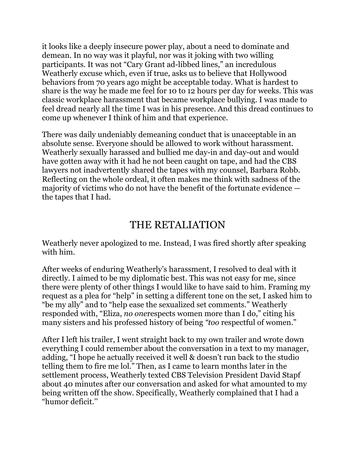it looks like a deeply insecure power play, about a need to dominate and demean. In no way was it playful, nor was it joking with two willing participants. It was not "Cary Grant ad-libbed lines," an incredulous Weatherly excuse which, even if true, asks us to believe that Hollywood behaviors from 70 years ago might be acceptable today. What is hardest to share is the way he made me feel for 10 to 12 hours per day for weeks. This was classic workplace harassment that became workplace bullying. I was made to feel dread nearly all the time I was in his presence. And this dread continues to come up whenever I think of him and that experience.

There was daily undeniably demeaning conduct that is unacceptable in an absolute sense. Everyone should be allowed to work without harassment. Weatherly sexually harassed and bullied me day-in and day-out and would have gotten away with it had he not been caught on tape, and had the CBS lawyers not inadvertently shared the tapes with my counsel, Barbara Robb. Reflecting on the whole ordeal, it often makes me think with sadness of the majority of victims who do not have the benefit of the fortunate evidence the tapes that I had.

## THE RETALIATION

Weatherly never apologized to me. Instead, I was fired shortly after speaking with him.

After weeks of enduring Weatherly's harassment, I resolved to deal with it directly. I aimed to be my diplomatic best. This was not easy for me, since there were plenty of other things I would like to have said to him. Framing my request as a plea for "help" in setting a different tone on the set, I asked him to "be my ally" and to "help ease the sexualized set comments." Weatherly responded with, "Eliza, *no one*respects women more than I do," citing his many sisters and his professed history of being *"too* respectful of women."

After I left his trailer, I went straight back to my own trailer and wrote down everything I could remember about the conversation in a text to my manager, adding, "I hope he actually received it well & doesn't run back to the studio telling them to fire me lol." Then, as I came to learn months later in the settlement process, Weatherly texted CBS Television President David Stapf about 40 minutes after our conversation and asked for what amounted to my being written off the show. Specifically, Weatherly complained that I had a "humor deficit.''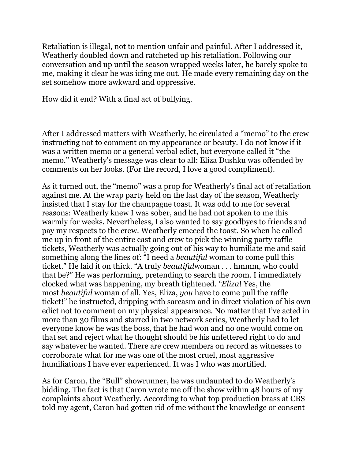Retaliation is illegal, not to mention unfair and painful. After I addressed it, Weatherly doubled down and ratcheted up his retaliation. Following our conversation and up until the season wrapped weeks later, he barely spoke to me, making it clear he was icing me out. He made every remaining day on the set somehow more awkward and oppressive.

How did it end? With a final act of bullying.

After I addressed matters with Weatherly, he circulated a "memo" to the crew instructing not to comment on my appearance or beauty. I do not know if it was a written memo or a general verbal edict, but everyone called it "the memo." Weatherly's message was clear to all: Eliza Dushku was offended by comments on her looks. (For the record, I love a good compliment).

As it turned out, the "memo" was a prop for Weatherly's final act of retaliation against me. At the wrap party held on the last day of the season, Weatherly insisted that I stay for the champagne toast. It was odd to me for several reasons: Weatherly knew I was sober, and he had not spoken to me this warmly for weeks. Nevertheless, I also wanted to say goodbyes to friends and pay my respects to the crew. Weatherly emceed the toast. So when he called me up in front of the entire cast and crew to pick the winning party raffle tickets, Weatherly was actually going out of his way to humiliate me and said something along the lines of: "I need a *beautiful* woman to come pull this ticket." He laid it on thick. "A truly *beautiful*woman . . . hmmm, who could that be?" He was performing, pretending to search the room. I immediately clocked what was happening, my breath tightened. *"Eliza*! Yes, the most *beautiful* woman of all. Yes, Eliza, *you* have to come pull the raffle ticket!" he instructed, dripping with sarcasm and in direct violation of his own edict not to comment on my physical appearance. No matter that I've acted in more than 30 films and starred in two network series, Weatherly had to let everyone know he was the boss, that he had won and no one would come on that set and reject what he thought should be his unfettered right to do and say whatever he wanted. There are crew members on record as witnesses to corroborate what for me was one of the most cruel, most aggressive humiliations I have ever experienced. It was I who was mortified.

As for Caron, the "Bull" showrunner, he was undaunted to do Weatherly's bidding. The fact is that Caron wrote me off the show within 48 hours of my complaints about Weatherly. According to what top production brass at CBS told my agent, Caron had gotten rid of me without the knowledge or consent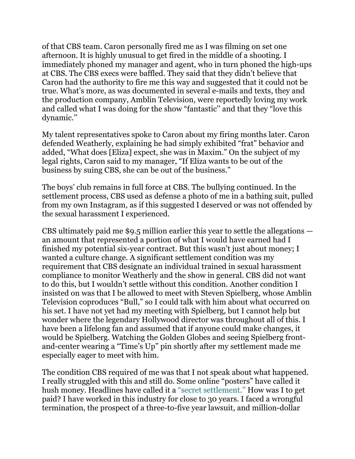of that CBS team. Caron personally fired me as I was filming on set one afternoon. It is highly unusual to get fired in the middle of a shooting. I immediately phoned my manager and agent, who in turn phoned the high-ups at CBS. The CBS execs were baffled. They said that they didn't believe that Caron had the authority to fire me this way and suggested that it could not be true. What's more, as was documented in several e-mails and texts, they and the production company, Amblin Television, were reportedly loving my work and called what I was doing for the show "fantastic'' and that they "love this dynamic.''

My talent representatives spoke to Caron about my firing months later. Caron defended Weatherly, explaining he had simply exhibited "frat" behavior and added, "What does [Eliza] expect, she was in Maxim." On the subject of my legal rights, Caron said to my manager, "If Eliza wants to be out of the business by suing CBS, she can be out of the business."

The boys' club remains in full force at CBS. The bullying continued. In the settlement process, CBS used as defense a photo of me in a bathing suit, pulled from my own Instagram, as if this suggested I deserved or was not offended by the sexual harassment I experienced.

CBS ultimately paid me \$9.5 million earlier this year to settle the allegations an amount that represented a portion of what I would have earned had I finished my potential six-year contract. But this wasn't just about money; I wanted a culture change. A significant settlement condition was my requirement that CBS designate an individual trained in sexual harassment compliance to monitor Weatherly and the show in general. CBS did not want to do this, but I wouldn't settle without this condition. Another condition I insisted on was that I be allowed to meet with Steven Spielberg, whose Amblin Television coproduces "Bull," so I could talk with him about what occurred on his set. I have not yet had my meeting with Spielberg, but I cannot help but wonder where the legendary Hollywood director was throughout all of this. I have been a lifelong fan and assumed that if anyone could make changes, it would be Spielberg. Watching the Golden Globes and seeing Spielberg frontand-center wearing a "Time's Up" pin shortly after my settlement made me especially eager to meet with him.

The condition CBS required of me was that I not speak about what happened. I really struggled with this and still do. Some online "posters" have called it hush money. Headlines have called it a "secret settlement.'' How was I to get paid? I have worked in this industry for close to 30 years. I faced a wrongful termination, the prospect of a three-to-five year lawsuit, and million-dollar